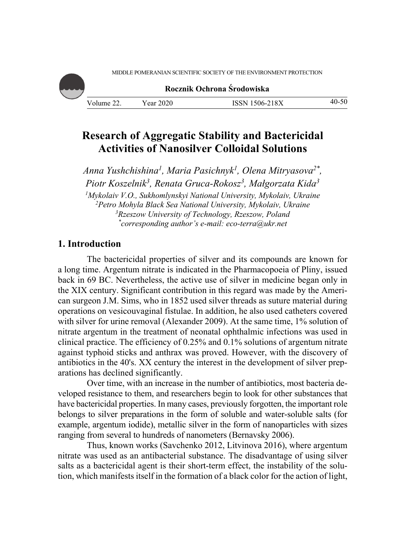

**Rocznik Ochrona Środowiska**

| Volume.<br><u>__</u> | $\cdot$ 2020<br>ear | ISSN 1506-218X | 40<br>ิีี |
|----------------------|---------------------|----------------|-----------|
|                      |                     |                |           |

# **Research of Aggregatic Stability and Bactericidal Activities of Nanosilver Colloidal Solutions**

*Anna Yushchishina1, Maria Pasichnyk1, Olena Mitryasova2\*, Piotr Koszelnik3, Renata Gruca-Rokosz3, Małgorzata Kida3 1 Mykolaiv V.O., Sukhomlynskyi National University, Mykolaiv, Ukraine 2 Petro Mohyla Black Sea National University, Mykolaiv, Ukraine 3 Rzeszow University of Technology, Rzeszow, Poland \* corresponding author's e-mail: eco-terra@ukr.net*

## **1. Introduction**

The bactericidal properties of silver and its compounds are known for a long time. Argentum nitrate is indicated in the Pharmacopoeia of Pliny, issued back in 69 BC. Nevertheless, the active use of silver in medicine began only in the XIX century. Significant contribution in this regard was made by the American surgeon J.M. Sims, who in 1852 used silver threads as suture material during operations on vesicouvaginal fistulae. In addition, he also used catheters covered with silver for urine removal (Alexander 2009). At the same time, 1% solution of nitrate argentum in the treatment of neonatal ophthalmic infections was used in clinical practice. The efficiency of 0.25% and 0.1% solutions of argentum nitrate against typhoid sticks and anthrax was proved. However, with the discovery of antibiotics in the 40's. XX century the interest in the development of silver preparations has declined significantly.

Over time, with an increase in the number of antibiotics, most bacteria developed resistance to them, and researchers begin to look for other substances that have bactericidal properties. In many cases, previously forgotten, the important role belongs to silver preparations in the form of soluble and water-soluble salts (for example, argentum iodide), metallic silver in the form of nanoparticles with sizes ranging from several to hundreds of nanometers (Bernavsky 2006).

Thus, known works (Savchenko 2012, Litvinova 2016), where argentum nitrate was used as an antibacterial substance. The disadvantage of using silver salts as a bactericidal agent is their short-term effect, the instability of the solution, which manifests itself in the formation of a black color for the action of light,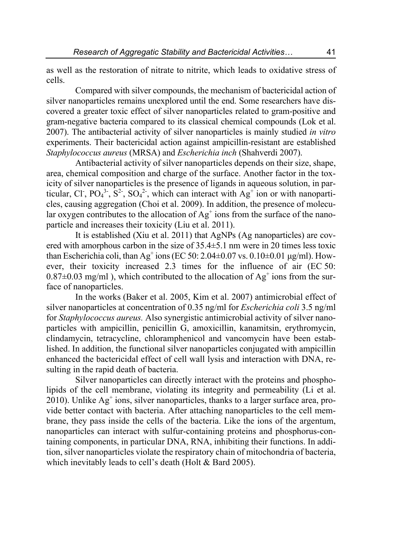as well as the restoration of nitrate to nitrite, which leads to oxidative stress of cells.

Compared with silver compounds, the mechanism of bactericidal action of silver nanoparticles remains unexplored until the end. Some researchers have discovered a greater toxic effect of silver nanoparticles related to gram-positive and gram-negative bacteria compared to its classical chemical compounds (Lok et al. 2007). The antibacterial activity of silver nanoparticles is mainly studied *in vitro*  experiments. Their bactericidal action against ampicillin-resistant are established *Staphylococcus aureus* (MRSA) and *Escherichia inch* (Shahverdi 2007).

Antibacterial activity of silver nanoparticles depends on their size, shape, area, chemical composition and charge of the surface. Another factor in the toxicity of silver nanoparticles is the presence of ligands in aqueous solution, in particular, Cl<sup>-</sup>, PO<sub>4</sub><sup>3-</sup>, S<sup>2-</sup>, SO<sub>4</sub><sup>2-</sup>, which can interact with Ag<sup>+</sup> ion or with nanoparticles, causing aggregation (Choi et al. 2009). In addition, the presence of molecular oxygen contributes to the allocation of  $Ag^+$  ions from the surface of the nanoparticle and increases their toxicity (Liu et al. 2011).

It is established (Xiu et al. 2011) that AgNPs (Ag nanoparticles) are covered with amorphous carbon in the size of 35.4±5.1 nm were in 20 times less toxic than Escherichia coli, than Ag<sup>+</sup> ions (EC 50: 2.04 $\pm$ 0.07 vs. 0.10 $\pm$ 0.01 µg/ml). However, their toxicity increased 2.3 times for the influence of air (EC 50:  $0.87\pm0.03$  mg/ml), which contributed to the allocation of Ag<sup>+</sup> ions from the surface of nanoparticles.

In the works (Baker et al. 2005, Kim et al. 2007) antimicrobial effect of silver nanoparticles at concentration of 0.35 ng/ml for *Escherichia coli* 3.5 ng/ml for *Staphylococcus aureus.* Also synergistic antimicrobial activity of silver nanoparticles with ampicillin, penicillin G, amoxicillin, kanamitsin, erythromycin, clindamycin, tetracycline, chloramphenicol and vancomycin have been established. In addition, the functional silver nanoparticles conjugated with ampicillin enhanced the bactericidal effect of cell wall lysis and interaction with DNA, resulting in the rapid death of bacteria.

Silver nanoparticles can directly interact with the proteins and phospholipids of the cell membrane, violating its integrity and permeability (Li et al.  $2010$ ). Unlike  $Ag<sup>+</sup> ions$ , silver nanoparticles, thanks to a larger surface area, provide better contact with bacteria. After attaching nanoparticles to the cell membrane, they pass inside the cells of the bacteria. Like the ions of the argentum, nanoparticles can interact with sulfur-containing proteins and phosphorus-containing components, in particular DNA, RNA, inhibiting their functions. In addition, silver nanoparticles violate the respiratory chain of mitochondria of bacteria, which inevitably leads to cell's death (Holt & Bard 2005).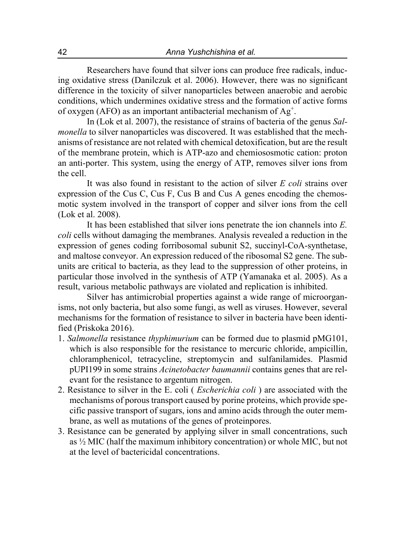Researchers have found that silver ions can produce free radicals, inducing oxidative stress (Danilczuk et al. 2006). However, there was no significant difference in the toxicity of silver nanoparticles between anaerobic and aerobic conditions, which undermines oxidative stress and the formation of active forms of oxygen (AFO) as an important antibacterial mechanism of  $Ag^+$ .

In (Lok et al. 2007), the resistance of strains of bacteria of the genus *Salmonella* to silver nanoparticles was discovered. It was established that the mechanisms of resistance are not related with chemical detoxification, but are the result of the membrane protein, which is ATP-azo and chemiososmotic cation: proton an anti-porter. This system, using the energy of ATP, removes silver ions from the cell.

It was also found in resistant to the action of silver *E coli* strains over expression of the Cus C, Cus F, Cus B and Cus A genes encoding the chemosmotic system involved in the transport of copper and silver ions from the cell (Lok et al. 2008).

It has been established that silver ions penetrate the ion channels into *E. coli* cells without damaging the membranes. Analysis revealed a reduction in the expression of genes coding forribosomal subunit S2, succinyl-CoA-synthetase, and maltose conveyor. An expression reduced of the ribosomal S2 gene. The subunits are critical to bacteria, as they lead to the suppression of other proteins, in particular those involved in the synthesis of ATP (Yamanaka et al. 2005). As a result, various metabolic pathways are violated and replication is inhibited.

Silver has antimicrobial properties against a wide range of microorganisms, not only bacteria, but also some fungi, as well as viruses. However, several mechanisms for the formation of resistance to silver in bacteria have been identified (Priskoka 2016).

- 1. *Salmonella* resistance *thyphimurium* can be formed due to plasmid pMG101, which is also responsible for the resistance to mercuric chloride, ampicillin, chloramphenicol, tetracycline, streptomycin and sulfanilamides. Plasmid pUPI199 in some strains *Acinetobacter baumannii* contains genes that are relevant for the resistance to argentum nitrogen.
- 2. Resistance to silver in the E. coli ( *Escherichia coli* ) are associated with the mechanisms of porous transport caused by porine proteins, which provide specific passive transport of sugars, ions and amino acids through the outer membrane, as well as mutations of the genes of proteinpores.
- 3. Resistance can be generated by applying silver in small concentrations, such as ½ MIC (half the maximum inhibitory concentration) or whole MIC, but not at the level of bactericidal concentrations.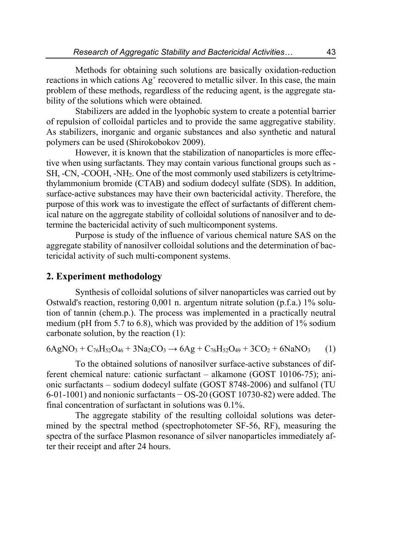Methods for obtaining such solutions are basically oxidation-reduction reactions in which cations  $Ag^{\dagger}$  recovered to metallic silver. In this case, the main problem of these methods, regardless of the reducing agent, is the aggregate stability of the solutions which were obtained.

Stabilizers are added in the lyophobic system to create a potential barrier of repulsion of colloidal particles and to provide the same aggregative stability. As stabilizers, inorganic and organic substances and also synthetic and natural polymers can be used (Shirokobokov 2009).

However, it is known that the stabilization of nanoparticles is more effective when using surfactants. They may contain various functional groups such as - SH, -CN, -COOH, -NH2. One of the most commonly used stabilizers is cetyltrimethylammonium bromide (CTAB) and sodium dodecyl sulfate (SDS). In addition, surface-active substances may have their own bactericidal activity. Therefore, the purpose of this work was to investigate the effect of surfactants of different chemical nature on the aggregate stability of colloidal solutions of nanosilver and to determine the bactericidal activity of such multicomponent systems.

Purpose is study of the influence of various chemical nature SAS on the aggregate stability of nanosilver colloidal solutions and the determination of bactericidal activity of such multi-component systems.

### **2. Experiment methodology**

Synthesis of colloidal solutions of silver nanoparticles was carried out by Ostwald's reaction, restoring 0,001 n. argentum nitrate solution (p.f.a.) 1% solution of tannin (chem.p.). The process was implemented in a practically neutral medium (pH from 5.7 to 6.8), which was provided by the addition of 1% sodium carbonate solution, by the reaction (1):

$$
6AgNO_3 + C_{76}H_{52}O_{46} + 3Na_2CO_3 \rightarrow 6Ag + C_{76}H_{52}O_{49} + 3CO_2 + 6NaNO_3
$$
 (1)

To the obtained solutions of nanosilver surface-active substances of different chemical nature: cationic surfactant – alkamone (GOST 10106-75); anionic surfactants – sodium dodecyl sulfate (GOST 8748-2006) and sulfanol (TU 6-01-1001) and nonionic surfactants − OS-20 (GOST 10730-82) were added. The final concentration of surfactant in solutions was 0.1%.

The aggregate stability of the resulting colloidal solutions was determined by the spectral method (spectrophotometer SF-56, RF), measuring the spectra of the surface Plasmon resonance of silver nanoparticles immediately after their receipt and after 24 hours.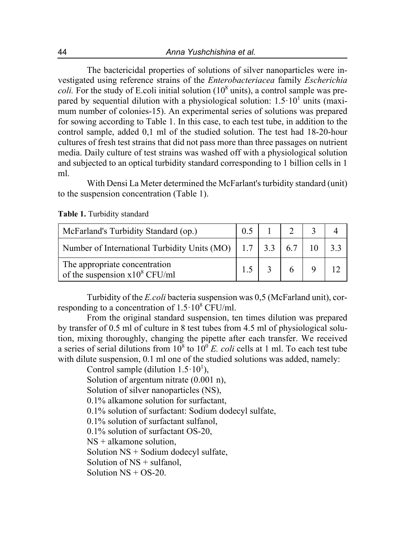The bactericidal properties of solutions of silver nanoparticles were investigated using reference strains of the *Enterobacteriacea* family *Escherichia coli.* For the study of E.coli initial solution  $(10<sup>8</sup>$  units), a control sample was prepared by sequential dilution with a physiological solution:  $1.5 \cdot 10^{1}$  units (maximum number of colonies-15). An experimental series of solutions was prepared for sowing according to Table 1. In this case, to each test tube, in addition to the control sample, added 0,1 ml of the studied solution. The test had 18-20-hour cultures of fresh test strains that did not pass more than three passages on nutrient media. Daily culture of test strains was washed off with a physiological solution and subjected to an optical turbidity standard corresponding to 1 billion cells in 1 ml.

With Densi La Meter determined the McFarlant's turbidity standard (unit) to the suspension concentration (Table 1).

| McFarland's Turbidity Standard (op.)                                                        |  |  |  |
|---------------------------------------------------------------------------------------------|--|--|--|
| Number of International Turbidity Units (MO) $\vert$ 1.7 $\vert$ 3.3 $\vert$ 6.7 $\vert$ 10 |  |  |  |
| The appropriate concentration<br>of the suspension $x10^8$ CFU/ml                           |  |  |  |

**Table 1.** Turbidity standard

Turbidity of the *E.coli* bacteria suspension was 0,5 (McFarland unit), corresponding to a concentration of  $1.5 \cdot 10^8$  CFU/ml.

From the original standard suspension, ten times dilution was prepared by transfer of 0.5 ml of culture in 8 test tubes from 4.5 ml of physiological solution, mixing thoroughly, changing the pipette after each transfer. We received a series of serial dilutions from  $10^8$  to  $10^0$  *E. coli* cells at 1 ml. To each test tube with dilute suspension, 0.1 ml one of the studied solutions was added, namely:

Control sample (dilution  $1.5 \cdot 10^{1}$ ), Solution of argentum nitrate (0.001 n), Solution of silver nanoparticles (NS), 0.1% alkamone solution for surfactant, 0.1% solution of surfactant: Sodium dodecyl sulfate, 0.1% solution of surfactant sulfanol, 0.1% solution of surfactant OS-20, NS + alkamone solution, Solution NS + Sodium dodecyl sulfate, Solution of NS + sulfanol, Solution  $NS + OS-20$ .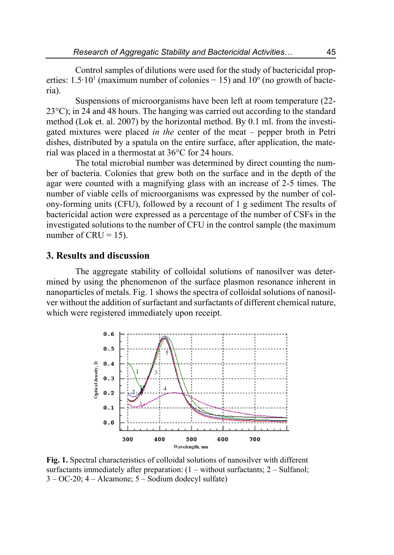Control samples of dilutions were used for the study of bactericidal properties: 1.5⋅10<sup>1</sup> (maximum number of colonies – 15) and 10<sup>o</sup> (no growth of bacteria).

Suspensions of microorganisms have been left at room temperature (22- 23°C); in 24 and 48 hours. The hanging was carried out according to the standard method (Lok et. al. 2007) by the horizontal method. By 0.1 ml. from the investigated mixtures were placed *in the* center of the meat – pepper broth in Petri dishes, distributed by a spatula on the entire surface, after application, the material was placed in a thermostat at 36°C for 24 hours.

The total microbial number was determined by direct counting the number of bacteria. Colonies that grew both on the surface and in the depth of the agar were counted with a magnifying glass with an increase of 2-5 times. The number of viable cells of microorganisms was expressed by the number of colony-forming units (CFU), followed by a recount of 1 g sediment The results of bactericidal action were expressed as a percentage of the number of CSFs in the investigated solutions to the number of CFU in the control sample (the maximum number of  $CRU = 15$ ).

#### **3. Results and discussion**

The aggregate stability of colloidal solutions of nanosilver was determined by using the phenomenon of the surface plasmon resonance inherent in nanoparticles of metals. Fig. 1 shows the spectra of colloidal solutions of nanosilver without the addition of surfactant and surfactants of different chemical nature, which were registered immediately upon receipt.



**Fig. 1.** Spectral characteristics of colloidal solutions of nanosilver with different surfactants immediately after preparation:  $(1 - \text{without surfaces}; 2 - \text{Sulfanol};$ 3 – ОС-20; 4 – Alcamone; 5 – Sodium dodecyl sulfate)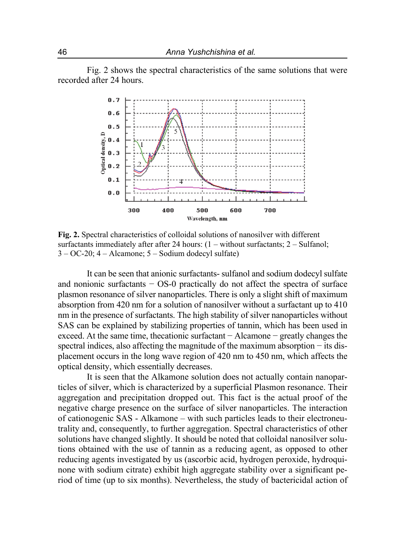Fig. 2 shows the spectral characteristics of the same solutions that were recorded after 24 hours.



**Fig. 2.** Spectral characteristics of colloidal solutions of nanosilver with different surfactants immediately after after 24 hours: (1 – without surfactants; 2 – Sulfanol; 3 – ОС-20; 4 – Alcamone; 5 – Sodium dodecyl sulfate)

It can be seen that anionic surfactants- sulfanol and sodium dodecyl sulfate and nonionic surfactants − OS-0 practically do not affect the spectra of surface plasmon resonance of silver nanoparticles. There is only a slight shift of maximum absorption from 420 nm for a solution of nanosilver without a surfactant up to 410 nm in the presence of surfactants. The high stability of silver nanoparticles without SAS can be explained by stabilizing properties of tannin, which has been used in exceed. At the same time, thecationic surfactant − Alcamone − greatly changes the spectral indices, also affecting the magnitude of the maximum absorption – its displacement occurs in the long wave region of 420 nm to 450 nm, which affects the optical density, which essentially decreases.

It is seen that the Alkamone solution does not actually contain nanoparticles of silver, which is characterized by a superficial Plasmon resonance. Their aggregation and precipitation dropped out. This fact is the actual proof of the negative charge presence on the surface of silver nanoparticles. The interaction of cationogenic SAS - Alkamone – with such particles leads to their electroneutrality and, consequently, to further aggregation. Spectral characteristics of other solutions have changed slightly. It should be noted that colloidal nanosilver solutions obtained with the use of tannin as a reducing agent, as opposed to other reducing agents investigated by us (ascorbic acid, hydrogen peroxide, hydroquinone with sodium citrate) exhibit high aggregate stability over a significant period of time (up to six months). Nevertheless, the study of bactericidal action of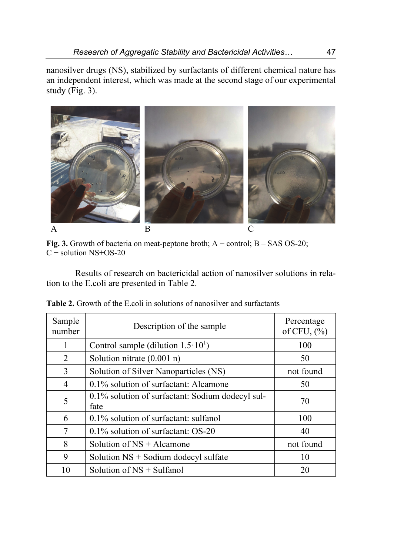nanosilver drugs (NS), stabilized by surfactants of different chemical nature has an independent interest, which was made at the second stage of our experimental study (Fig.  $3$ ).



**Fig. 3.** Growth of bacteria on meat-peptone broth; A − control; B – SAS OS-20; C − solution NS+OS-20

Results of research on bactericidal action of nanosilver solutions in relation to the E.coli are presented in Table 2.

| Sample<br>number | Description of the sample                                | Percentage<br>of CFU, $(\%$ |  |
|------------------|----------------------------------------------------------|-----------------------------|--|
| 1                | Control sample (dilution $1.5 \cdot 10^{1}$ )            | 100                         |  |
| 2                | Solution nitrate $(0.001 n)$                             | 50                          |  |
| 3                | Solution of Silver Nanoparticles (NS)                    | not found                   |  |
| 4                | 0.1% solution of surfactant: Alcamone                    | 50                          |  |
| 5                | 0.1% solution of surfactant: Sodium dodecyl sul-<br>fate | 70                          |  |
| 6                | 0.1% solution of surfactant: sulfanol                    | 100                         |  |
| 7                | $0.1\%$ solution of surfactant: OS-20                    | 40                          |  |
| 8                | Solution of $NS +$ Alcamone                              | not found                   |  |
| 9                | Solution $NS +$ Sodium dodecyl sulfate                   | 10                          |  |
| 10               | Solution of $NS + Sulfanol$                              | 20                          |  |

**Table 2.** Growth of the E.coli in solutions of nanosilver and surfactants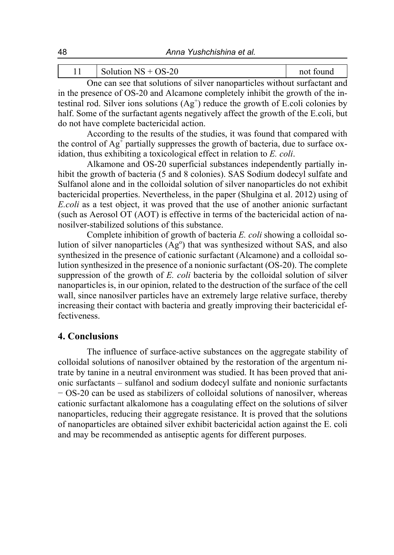|        | nη<br>$\alpha$ n<br>↘<br>╮_<br>,,,,,,<br>ั∠∪<br>ັ<br>11111 |         | <b>COMMAND</b> |
|--------|------------------------------------------------------------|---------|----------------|
| $\sim$ |                                                            | $\cdot$ |                |

One can see that solutions of silver nanoparticles without surfactant and in the presence of OS-20 and Alcamone completely inhibit the growth of the intestinal rod. Silver ions solutions  $(Ag<sup>+</sup>)$  reduce the growth of E.coli colonies by half. Some of the surfactant agents negatively affect the growth of the E.coli, but do not have complete bactericidal action.

According to the results of the studies, it was found that compared with the control of  $Ag^{\dagger}$  partially suppresses the growth of bacteria, due to surface oxidation, thus exhibiting a toxicological effect in relation to *E. coli*.

Alkamone and OS-20 superficial substances independently partially inhibit the growth of bacteria (5 and 8 colonies). SAS Sodium dodecyl sulfate and Sulfanol alone and in the colloidal solution of silver nanoparticles do not exhibit bactericidal properties. Nevertheless, in the paper (Shulgina et al. 2012) using of *E.coli* as a test object, it was proved that the use of another anionic surfactant (such as Aerosol OT (AOT) is effective in terms of the bactericidal action of nanosilver-stabilized solutions of this substance.

Complete inhibition of growth of bacteria *E. coli* showing a colloidal solution of silver nanoparticles  $(Ag^{\circ})$  that was synthesized without SAS, and also synthesized in the presence of cationic surfactant (Alcamone) and a colloidal solution synthesized in the presence of a nonionic surfactant (OS-20). The complete suppression of the growth of *E. coli* bacteria by the colloidal solution of silver nanoparticles is, in our opinion, related to the destruction of the surface of the cell wall, since nanosilver particles have an extremely large relative surface, thereby increasing their contact with bacteria and greatly improving their bactericidal effectiveness.

#### **4. Conclusions**

The influence of surface-active substances on the aggregate stability of colloidal solutions of nanosilver obtained by the restoration of the argentum nitrate by tanine in a neutral environment was studied. It has been proved that anionic surfactants – sulfanol and sodium dodecyl sulfate and nonionic surfactants − OS-20 can be used as stabilizers of colloidal solutions of nanosilver, whereas cationic surfactant alkalomone has a coagulating effect on the solutions of silver nanoparticles, reducing their aggregate resistance. It is proved that the solutions of nanoparticles are obtained silver exhibit bactericidal action against the E. coli and may be recommended as antiseptic agents for different purposes.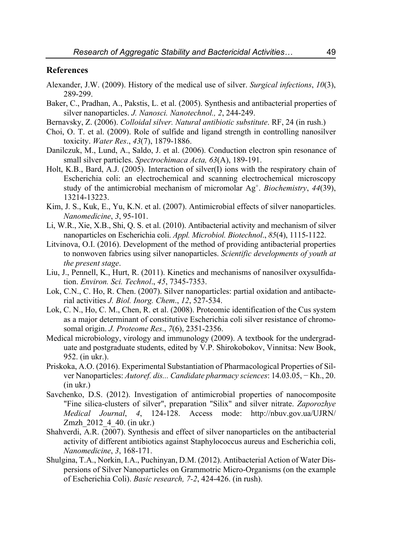#### **References**

- Alexander, J.W. (2009). History of the medical use of silver. *Surgical infections*, *10*(3), 289-299.
- Baker, C., Pradhan, A., Pakstis, L. et al. (2005). Synthesis and antibacterial properties of silver nanoparticles. *J. Nanosci. Nanotechnol., 2*, 244-249.
- Bernavsky, Z. (2006). *Colloidal silver. Natural antibiotic substitute*. RF, 24 (in rush.)
- Choi, O. T. et al. (2009). Role of sulfide and ligand strength in controlling nanosilver toxicity. *Water Res*., *43*(7), 1879-1886.
- Danilczuk, M., Lund, A., Saldo, J. et al. (2006). Conduction electron spin resonance of small silver particles. *Spectrochimaca Acta, 63*(A), 189-191.
- Holt, K.B., Bard, A.J. (2005). Interaction of silver(I) ions with the respiratory chain of Escherichia coli: an electrochemical and scanning electrochemical microscopy study of the antimicrobial mechanism of micromolar Ag+. *Biochemistry*, *44*(39), 13214-13223.
- Kim, J. S., Kuk, E., Yu, K.N. et al. (2007). Antimicrobial effects of silver nanoparticles. *Nanomedicine*, *3*, 95-101.
- Li, W.R., Xie, X.B., Shi, Q. S. et al. (2010). Antibacterial activity and mechanism of silver nanoparticles on Escherichia coli. *Appl. Microbiol. Biotechnol*., *85*(4), 1115-1122.
- Litvinova, O.I. (2016). Development of the method of providing antibacterial properties to nonwoven fabrics using silver nanoparticles. *Scientific developments of youth at the present stage*.
- Liu, J., Pennell, K., Hurt, R. (2011). Kinetics and mechanisms of nanosilver oxysulfidation. *Environ. Sci. Technol*., *45*, 7345-7353.
- Lok, C.N., C. Ho, R. Chen. (2007). Silver nanoparticles: partial oxidation and antibacterial activities *J. Biol. Inorg. Chem*., *12*, 527-534.
- Lok, C. N., Ho, C. M., Chen, R. et al. (2008). Proteomic identification of the Cus system as a major determinant of constitutive Escherichia coli silver resistance of chromosomal origin. *J. Proteome Res*., *7*(6), 2351-2356.
- Medical microbiology, virology and immunology (2009). A textbook for the undergraduate and postgraduate students, edited by V.P. Shirokobokov, Vinnitsa: New Book, 952. (in ukr.).
- Priskoka, A.O. (2016). Experimental Substantiation of Pharmacological Properties of Silver Nanoparticles: *Autoref. dis... Candidate pharmacy sciences*: 14.03.05, − Kh., 20. (in ukr.)
- Savchenko, D.S. (2012). Investigation of antimicrobial properties of nanocomposite "Fine silica-clusters of silver", preparation "Silix" and silver nitrate. *Zaporozhye Medical Journal*, *4*, 124-128. Access mode: http://nbuv.gov.ua/UJRN/ Zmzh 2012 4 40. (in ukr.)
- Shahverdi, A.R. (2007). Synthesis and effect of silver nanoparticles on the antibacterial activity of different antibiotics against Staphylococcus aureus and Escherichia coli, *Nanomedicine*, *3*, 168-171.
- Shulgina, T.A., Norkin, I.A., Puchinyan, D.M. (2012). Antibacterial Action of Water Dispersions of Silver Nanoparticles on Grammotric Micro-Organisms (on the example of Escherichia Coli). *Basic research, 7-2*, 424-426. (in rush).